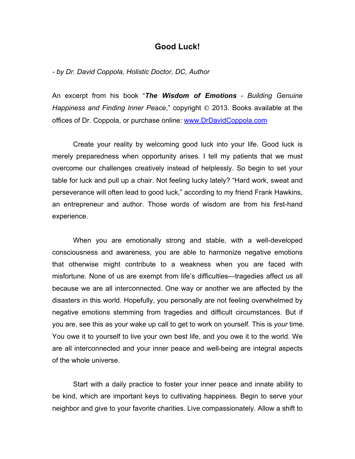## **Good Luck!**

*- by Dr. David Coppola, Holistic Doctor, DC, Author*

An excerpt from his book "*The Wisdom of Emotions - Building Genuine Happiness and Finding Inner Peace,*" copyright  $\odot$  2013. Books available at the offices of Dr. Coppola, or purchase online: www.DrDavidCoppola.com

Create your reality by welcoming good luck into your life. Good luck is merely preparedness when opportunity arises. I tell my patients that we must overcome our challenges creatively instead of helplessly. So begin to set your table for luck and pull up a chair. Not feeling lucky lately? "Hard work, sweat and perseverance will often lead to good luck," according to my friend Frank Hawkins, an entrepreneur and author. Those words of wisdom are from his first-hand experience.

When you are emotionally strong and stable, with a well-developed consciousness and awareness, you are able to harmonize negative emotions that otherwise might contribute to a weakness when you are faced with misfortune. None of us are exempt from life's difficulties—tragedies affect us all because we are all interconnected. One way or another we are affected by the disasters in this world. Hopefully, you personally are not feeling overwhelmed by negative emotions stemming from tragedies and difficult circumstances. But if you are, see this as your wake up call to get to work on yourself. This is *your* time. You owe it to yourself to live your own best life, and you owe it to the world. We are all interconnected and your inner peace and well-being are integral aspects of the whole universe.

Start with a daily practice to foster your inner peace and innate ability to be kind, which are important keys to cultivating happiness. Begin to serve your neighbor and give to your favorite charities. Live compassionately. Allow a shift to